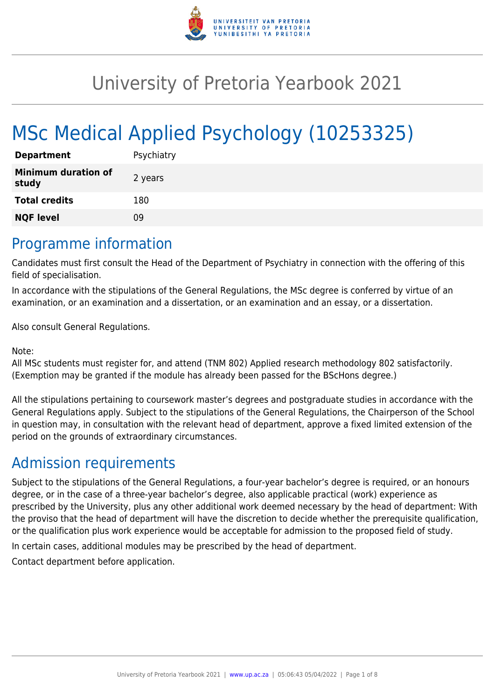

# University of Pretoria Yearbook 2021

# MSc Medical Applied Psychology (10253325)

| <b>Department</b>                   | Psychiatry |
|-------------------------------------|------------|
| <b>Minimum duration of</b><br>study | 2 years    |
| <b>Total credits</b>                | 180        |
| <b>NQF level</b>                    | Ωd         |

### Programme information

Candidates must first consult the Head of the Department of Psychiatry in connection with the offering of this field of specialisation.

In accordance with the stipulations of the General Regulations, the MSc degree is conferred by virtue of an examination, or an examination and a dissertation, or an examination and an essay, or a dissertation.

Also consult General Regulations.

Note:

All MSc students must register for, and attend (TNM 802) Applied research methodology 802 satisfactorily. (Exemption may be granted if the module has already been passed for the BScHons degree.)

All the stipulations pertaining to coursework master's degrees and postgraduate studies in accordance with the General Regulations apply. Subject to the stipulations of the General Regulations, the Chairperson of the School in question may, in consultation with the relevant head of department, approve a fixed limited extension of the period on the grounds of extraordinary circumstances.

# Admission requirements

Subject to the stipulations of the General Regulations, a four-year bachelor's degree is required, or an honours degree, or in the case of a three-year bachelor's degree, also applicable practical (work) experience as prescribed by the University, plus any other additional work deemed necessary by the head of department: With the proviso that the head of department will have the discretion to decide whether the prerequisite qualification, or the qualification plus work experience would be acceptable for admission to the proposed field of study.

In certain cases, additional modules may be prescribed by the head of department.

Contact department before application.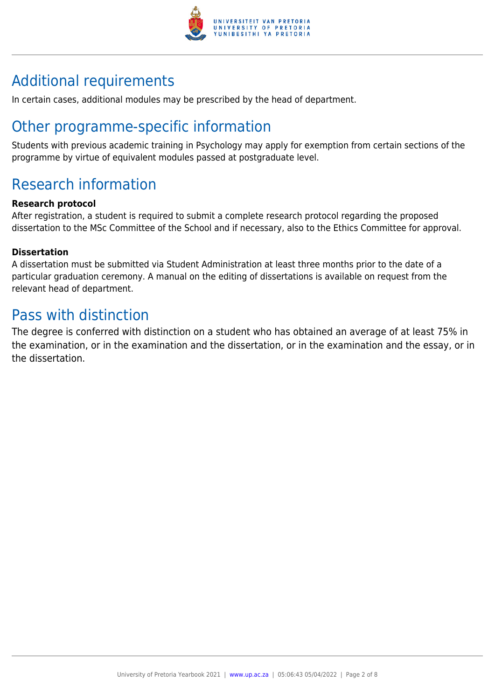

# Additional requirements

In certain cases, additional modules may be prescribed by the head of department.

# Other programme-specific information

Students with previous academic training in Psychology may apply for exemption from certain sections of the programme by virtue of equivalent modules passed at postgraduate level.

# Research information

#### **Research protocol**

After registration, a student is required to submit a complete research protocol regarding the proposed dissertation to the MSc Committee of the School and if necessary, also to the Ethics Committee for approval.

#### **Dissertation**

A dissertation must be submitted via Student Administration at least three months prior to the date of a particular graduation ceremony. A manual on the editing of dissertations is available on request from the relevant head of department.

## Pass with distinction

The degree is conferred with distinction on a student who has obtained an average of at least 75% in the examination, or in the examination and the dissertation, or in the examination and the essay, or in the dissertation.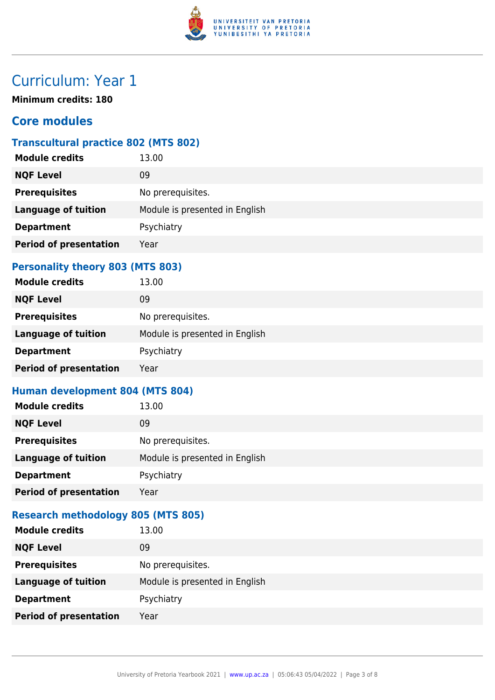

# Curriculum: Year 1

**Minimum credits: 180**

### **Core modules**

#### **Transcultural practice 802 (MTS 802)**

| <b>Module credits</b>         | 13.00                          |
|-------------------------------|--------------------------------|
| <b>NQF Level</b>              | 09                             |
| <b>Prerequisites</b>          | No prerequisites.              |
| <b>Language of tuition</b>    | Module is presented in English |
| <b>Department</b>             | Psychiatry                     |
| <b>Period of presentation</b> | Year                           |
|                               |                                |

#### **Personality theory 803 (MTS 803)**

| <b>Module credits</b>         | 13.00                          |
|-------------------------------|--------------------------------|
| <b>NQF Level</b>              | 09                             |
| <b>Prerequisites</b>          | No prerequisites.              |
| <b>Language of tuition</b>    | Module is presented in English |
| <b>Department</b>             | Psychiatry                     |
| <b>Period of presentation</b> | Year                           |

#### **Human development 804 (MTS 804)**

| <b>Module credits</b>         | 13.00                          |
|-------------------------------|--------------------------------|
| <b>NQF Level</b>              | 09                             |
| <b>Prerequisites</b>          | No prerequisites.              |
| <b>Language of tuition</b>    | Module is presented in English |
| <b>Department</b>             | Psychiatry                     |
| <b>Period of presentation</b> | Year                           |

### **Research methodology 805 (MTS 805)**

| <b>Module credits</b>         | 13.00                          |
|-------------------------------|--------------------------------|
| <b>NQF Level</b>              | 09                             |
| <b>Prerequisites</b>          | No prerequisites.              |
| <b>Language of tuition</b>    | Module is presented in English |
| <b>Department</b>             | Psychiatry                     |
| <b>Period of presentation</b> | Year                           |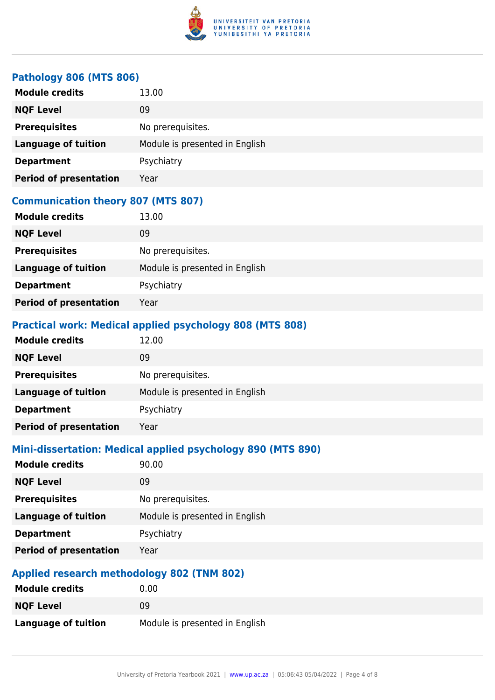

#### **Pathology 806 (MTS 806)**

| <b>Module credits</b>         | 13.00                          |
|-------------------------------|--------------------------------|
| <b>NQF Level</b>              | 09                             |
| <b>Prerequisites</b>          | No prerequisites.              |
| <b>Language of tuition</b>    | Module is presented in English |
| <b>Department</b>             | Psychiatry                     |
| <b>Period of presentation</b> | Year                           |

### **Communication theory 807 (MTS 807)**

| <b>Module credits</b>         | 13.00                          |
|-------------------------------|--------------------------------|
| <b>NQF Level</b>              | 09                             |
| <b>Prerequisites</b>          | No prerequisites.              |
| <b>Language of tuition</b>    | Module is presented in English |
| <b>Department</b>             | Psychiatry                     |
| <b>Period of presentation</b> | Year                           |

#### **Practical work: Medical applied psychology 808 (MTS 808)**

| <b>Module credits</b>         | 12.00                          |
|-------------------------------|--------------------------------|
| <b>NQF Level</b>              | 09                             |
| <b>Prerequisites</b>          | No prerequisites.              |
| <b>Language of tuition</b>    | Module is presented in English |
| <b>Department</b>             | Psychiatry                     |
| <b>Period of presentation</b> | Year                           |

#### **Mini-dissertation: Medical applied psychology 890 (MTS 890)**

| <b>Module credits</b>         | 90.00                          |
|-------------------------------|--------------------------------|
| <b>NQF Level</b>              | 09                             |
| <b>Prerequisites</b>          | No prerequisites.              |
| <b>Language of tuition</b>    | Module is presented in English |
| <b>Department</b>             | Psychiatry                     |
| <b>Period of presentation</b> | Year                           |

#### **Applied research methodology 802 (TNM 802)**

| <b>Module credits</b>      | 0.00                           |
|----------------------------|--------------------------------|
| <b>NQF Level</b>           | 09                             |
| <b>Language of tuition</b> | Module is presented in English |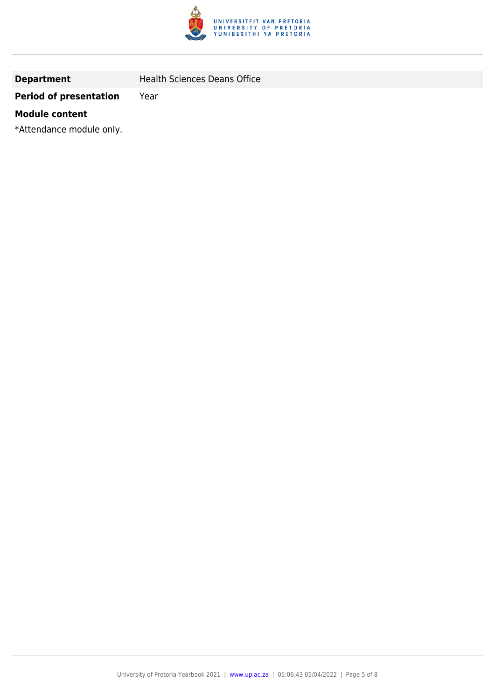

**Department** Health Sciences Deans Office

#### **Period of presentation** Year

#### **Module content**

\*Attendance module only.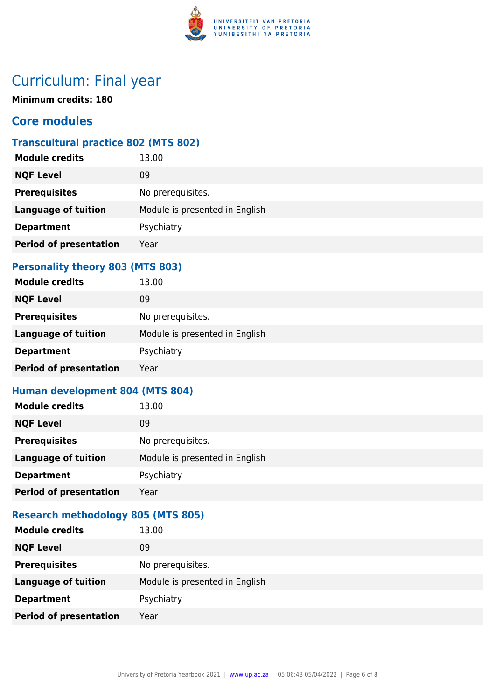

# Curriculum: Final year

**Minimum credits: 180**

### **Core modules**

### **Transcultural practice 802 (MTS 802)**

| <b>Module credits</b>         | 13.00                          |
|-------------------------------|--------------------------------|
| <b>NQF Level</b>              | 09                             |
| <b>Prerequisites</b>          | No prerequisites.              |
| <b>Language of tuition</b>    | Module is presented in English |
| <b>Department</b>             | Psychiatry                     |
| <b>Period of presentation</b> | Year                           |
|                               |                                |

### **Personality theory 803 (MTS 803)**

| <b>Module credits</b>         | 13.00                          |
|-------------------------------|--------------------------------|
| <b>NQF Level</b>              | 09                             |
| <b>Prerequisites</b>          | No prerequisites.              |
| <b>Language of tuition</b>    | Module is presented in English |
| <b>Department</b>             | Psychiatry                     |
| <b>Period of presentation</b> | Year                           |

#### **Human development 804 (MTS 804)**

| <b>Module credits</b>         | 13.00                          |
|-------------------------------|--------------------------------|
| <b>NQF Level</b>              | 09                             |
| <b>Prerequisites</b>          | No prerequisites.              |
| <b>Language of tuition</b>    | Module is presented in English |
| <b>Department</b>             | Psychiatry                     |
| <b>Period of presentation</b> | Year                           |

### **Research methodology 805 (MTS 805)**

| <b>Module credits</b>         | 13.00                          |
|-------------------------------|--------------------------------|
| <b>NQF Level</b>              | 09                             |
| <b>Prerequisites</b>          | No prerequisites.              |
| <b>Language of tuition</b>    | Module is presented in English |
| <b>Department</b>             | Psychiatry                     |
| <b>Period of presentation</b> | Year                           |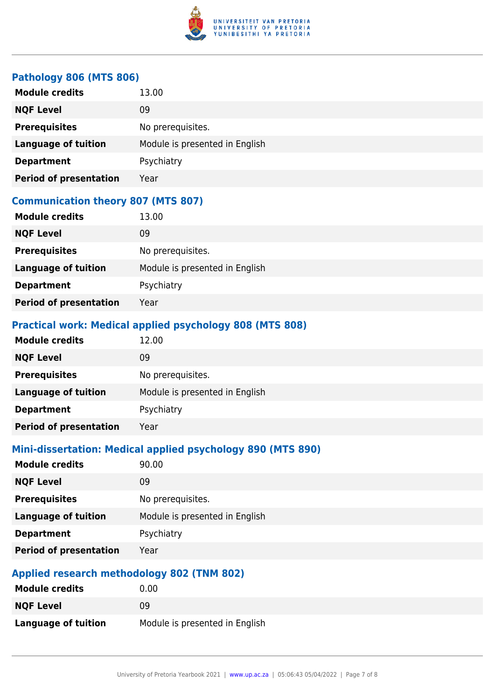

#### **Pathology 806 (MTS 806)**

| <b>Module credits</b>         | 13.00                          |
|-------------------------------|--------------------------------|
| <b>NQF Level</b>              | 09                             |
| <b>Prerequisites</b>          | No prerequisites.              |
| <b>Language of tuition</b>    | Module is presented in English |
| <b>Department</b>             | Psychiatry                     |
| <b>Period of presentation</b> | Year                           |

### **Communication theory 807 (MTS 807)**

| <b>Module credits</b>         | 13.00                          |
|-------------------------------|--------------------------------|
| <b>NQF Level</b>              | 09                             |
| <b>Prerequisites</b>          | No prerequisites.              |
| <b>Language of tuition</b>    | Module is presented in English |
| <b>Department</b>             | Psychiatry                     |
| <b>Period of presentation</b> | Year                           |

#### **Practical work: Medical applied psychology 808 (MTS 808)**

| <b>Module credits</b>         | 12.00                          |
|-------------------------------|--------------------------------|
| <b>NQF Level</b>              | 09                             |
| <b>Prerequisites</b>          | No prerequisites.              |
| <b>Language of tuition</b>    | Module is presented in English |
| <b>Department</b>             | Psychiatry                     |
| <b>Period of presentation</b> | Year                           |

#### **Mini-dissertation: Medical applied psychology 890 (MTS 890)**

| <b>Module credits</b>         | 90.00                          |
|-------------------------------|--------------------------------|
| <b>NQF Level</b>              | 09                             |
| <b>Prerequisites</b>          | No prerequisites.              |
| <b>Language of tuition</b>    | Module is presented in English |
| <b>Department</b>             | Psychiatry                     |
| <b>Period of presentation</b> | Year                           |

#### **Applied research methodology 802 (TNM 802)**

| <b>Module credits</b>      | 0.00                           |
|----------------------------|--------------------------------|
| <b>NQF Level</b>           | 09                             |
| <b>Language of tuition</b> | Module is presented in English |